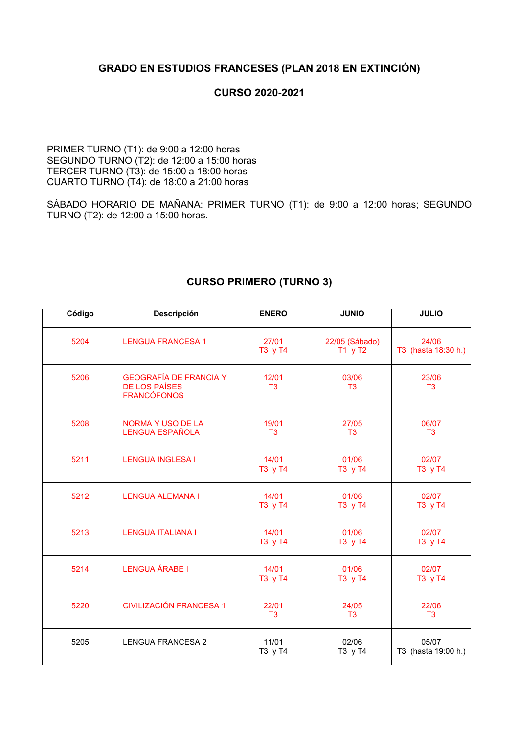#### **GRADO EN ESTUDIOS FRANCESES (PLAN 2018 EN EXTINCIÓN)**

#### **CURSO 2020-2021**

PRIMER TURNO (T1): de 9:00 a 12:00 horas SEGUNDO TURNO (T2): de 12:00 a 15:00 horas TERCER TURNO (T3): de 15:00 a 18:00 horas CUARTO TURNO (T4): de 18:00 a 21:00 horas

SÁBADO HORARIO DE MAÑANA: PRIMER TURNO (T1): de 9:00 a 12:00 horas; SEGUNDO TURNO (T2): de 12:00 a 15:00 horas.

| Código | Descripción                                                                 | <b>ENERO</b>            | <b>JUNIO</b>                | <b>JULIO</b>                 |
|--------|-----------------------------------------------------------------------------|-------------------------|-----------------------------|------------------------------|
| 5204   | <b>LENGUA FRANCESA 1</b>                                                    | 27/01<br>T3 y T4        | 22/05 (Sábado)<br>$T1$ y T2 | 24/06<br>T3 (hasta 18:30 h.) |
| 5206   | <b>GEOGRAFÍA DE FRANCIA Y</b><br><b>DE LOS PAÍSES</b><br><b>FRANCÓFONOS</b> | 12/01<br>T <sub>3</sub> | 03/06<br>T <sub>3</sub>     | 23/06<br>T <sub>3</sub>      |
| 5208   | <b>NORMA Y USO DE LA</b><br>LENGUA ESPAÑOLA                                 | 19/01<br>T <sub>3</sub> | 27/05<br>T <sub>3</sub>     | 06/07<br>T <sub>3</sub>      |
| 5211   | <b>LENGUA INGLESA I</b>                                                     | 14/01<br>T3 y T4        | 01/06<br>T3 y T4            | 02/07<br>T3 y T4             |
| 5212   | <b>LENGUA ALEMANA I</b>                                                     | 14/01<br>T3 y T4        | 01/06<br>T3 y T4            | 02/07<br>T3 y T4             |
| 5213   | <b>LENGUA ITALIANA I</b>                                                    | 14/01<br>T3 y T4        | 01/06<br>T3 y T4            | 02/07<br>T3 y T4             |
| 5214   | <b>LENGUA ÁRABE I</b>                                                       | 14/01<br>T3 y T4        | 01/06<br>T3 y T4            | 02/07<br>T3 y T4             |
| 5220   | <b>CIVILIZACIÓN FRANCESA 1</b>                                              | 22/01<br>T <sub>3</sub> | 24/05<br>T <sub>3</sub>     | 22/06<br>T <sub>3</sub>      |
| 5205   | <b>LENGUA FRANCESA 2</b>                                                    | 11/01<br>T3 y T4        | 02/06<br>T3 y T4            | 05/07<br>T3 (hasta 19:00 h.) |

#### **CURSO PRIMERO (TURNO 3)**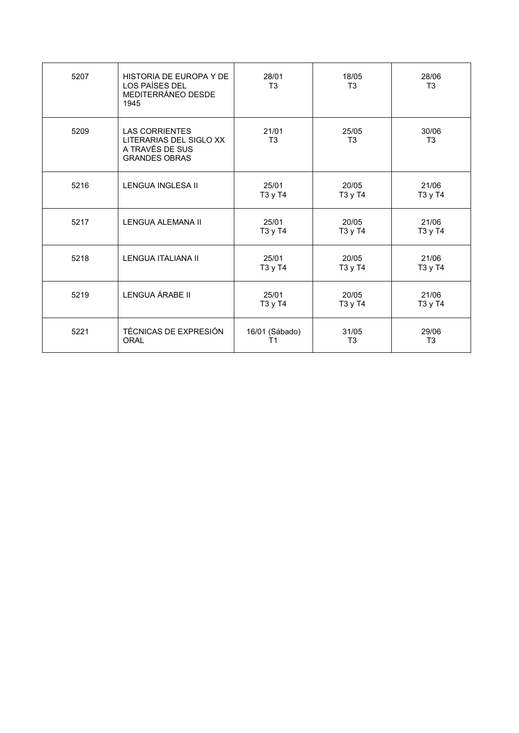| 5207 | HISTORIA DE EUROPA Y DE<br>LOS PAÍSES DEL<br>MEDITERRÁNEO DESDE<br>1945                     | 28/01<br>T <sub>3</sub> | 18/05<br>T <sub>3</sub> | 28/06<br>T <sub>3</sub> |
|------|---------------------------------------------------------------------------------------------|-------------------------|-------------------------|-------------------------|
| 5209 | <b>LAS CORRIENTES</b><br>LITERARIAS DEL SIGLO XX<br>A TRAVÉS DE SUS<br><b>GRANDES OBRAS</b> | 21/01<br>T <sub>3</sub> | 25/05<br>T <sub>3</sub> | 30/06<br>T <sub>3</sub> |
| 5216 | LENGUA INGLESA II                                                                           | 25/01<br>T3 y T4        | 20/05<br>T3 y T4        | 21/06<br>T3 y T4        |
| 5217 | LENGUA ALEMANA II                                                                           | 25/01<br>T3 y T4        | 20/05<br>T3 y T4        | 21/06<br>T3 y T4        |
| 5218 | <b>LENGUA ITALIANA II</b>                                                                   | 25/01<br>T3 y T4        | 20/05<br>T3 y T4        | 21/06<br>T3 y T4        |
| 5219 | LENGUA ÁRABE II                                                                             | 25/01<br>T3 y T4        | 20/05<br>T3 y T4        | 21/06<br>T3 y T4        |
| 5221 | TÉCNICAS DE EXPRESIÓN<br><b>ORAL</b>                                                        | 16/01 (Sábado)<br>Τ1    | 31/05<br>T <sub>3</sub> | 29/06<br>T <sub>3</sub> |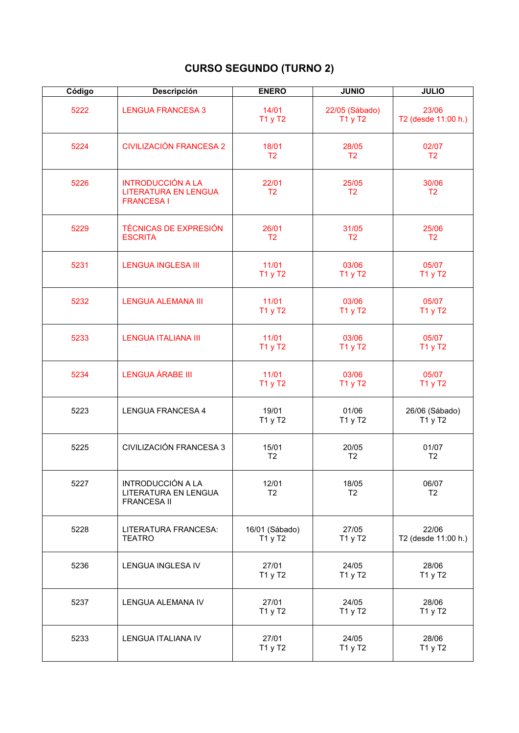# **CURSO SEGUNDO (TURNO 2)**

| Código | <b>Descripción</b>                                                           | <b>ENERO</b>              | <b>JUNIO</b>              | <b>JULIO</b>                 |
|--------|------------------------------------------------------------------------------|---------------------------|---------------------------|------------------------------|
| 5222   | <b>LENGUA FRANCESA 3</b>                                                     | 14/01<br>T1 y T2          | 22/05 (Sábado)<br>T1 y T2 | 23/06<br>T2 (desde 11:00 h.) |
| 5224   | <b>CIVILIZACIÓN FRANCESA 2</b>                                               | 18/01<br>T <sub>2</sub>   | 28/05<br>T <sub>2</sub>   | 02/07<br>T <sub>2</sub>      |
| 5226   | <b>INTRODUCCIÓN A LA</b><br><b>LITERATURA EN LENGUA</b><br><b>FRANCESA I</b> | 22/01<br>T <sub>2</sub>   | 25/05<br>T <sub>2</sub>   | 30/06<br>T <sub>2</sub>      |
| 5229   | <b>TÉCNICAS DE EXPRESIÓN</b><br><b>ESCRITA</b>                               | 26/01<br>T <sub>2</sub>   | 31/05<br>T <sub>2</sub>   | 25/06<br>T <sub>2</sub>      |
| 5231   | <b>LENGUA INGLESA III</b>                                                    | 11/01<br>T1 y T2          | 03/06<br>T1 y T2          | 05/07<br>T1 y T2             |
| 5232   | <b>LENGUA ALEMANA III</b>                                                    | 11/01<br>T1 y T2          | 03/06<br>T1 y T2          | 05/07<br>T1 y T2             |
| 5233   | <b>LENGUA ITALIANA III</b>                                                   | 11/01<br>T1 y T2          | 03/06<br>T1 y T2          | 05/07<br>T1 y T2             |
| 5234   | <b>LENGUA ÁRABE III</b>                                                      | 11/01<br>T1 y T2          | 03/06<br>T1 y T2          | 05/07<br>T1 y T2             |
| 5223   | <b>LENGUA FRANCESA 4</b>                                                     | 19/01<br>T1 y T2          | 01/06<br>T1 y T2          | 26/06 (Sábado)<br>T1 y T2    |
| 5225   | CIVILIZACIÓN FRANCESA 3                                                      | 15/01<br>T <sub>2</sub>   | 20/05<br>T <sub>2</sub>   | 01/07<br>T <sub>2</sub>      |
| 5227   | <b>INTRODUCCIÓN A LA</b><br>LITERATURA EN LENGUA<br><b>FRANCESA II</b>       | 12/01<br>T <sub>2</sub>   | 18/05<br>T <sub>2</sub>   | 06/07<br>T <sub>2</sub>      |
| 5228   | LITERATURA FRANCESA:<br><b>TEATRO</b>                                        | 16/01 (Sábado)<br>T1 y T2 | 27/05<br>T1 y T2          | 22/06<br>T2 (desde 11:00 h.) |
| 5236   | LENGUA INGLESA IV                                                            | 27/01<br>T1 y T2          | 24/05<br>T1 y T2          | 28/06<br>T1 y T2             |
| 5237   | LENGUA ALEMANA IV                                                            | 27/01<br>T1 y T2          | 24/05<br>T1 y T2          | 28/06<br>T1 y T2             |
| 5233   | LENGUA ITALIANA IV                                                           | 27/01<br>T1 y T2          | 24/05<br>T1 y T2          | 28/06<br>T1 y T2             |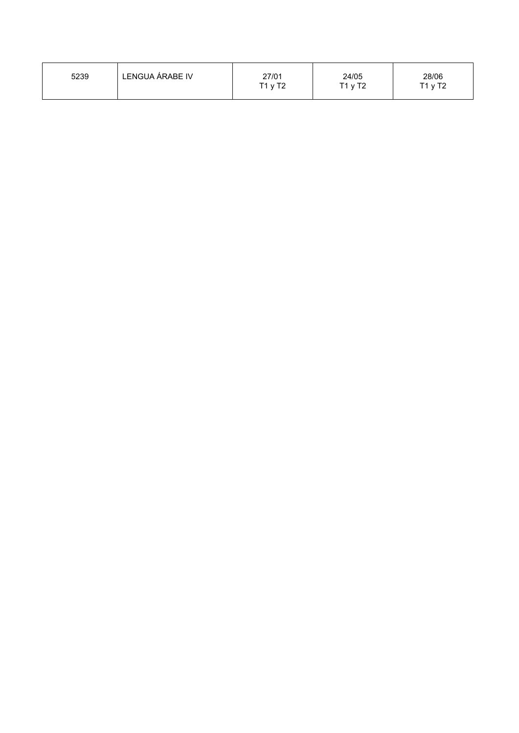| LENGUA ÁRABE IV | 27/01     | 24/05   | 28/06   |
|-----------------|-----------|---------|---------|
| 5239            | $T1$ y T2 | T1 y T2 | T1 y T2 |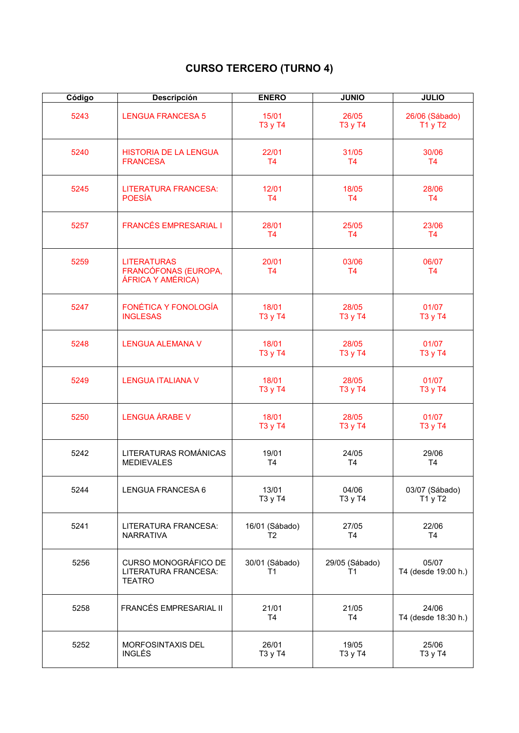# **CURSO TERCERO (TURNO 4)**

| Código | <b>Descripción</b>                                              | <b>ENERO</b>                     | <b>JUNIO</b>            | <b>JULIO</b>                 |
|--------|-----------------------------------------------------------------|----------------------------------|-------------------------|------------------------------|
| 5243   | <b>LENGUA FRANCESA 5</b>                                        | 15/01<br>T3 y T4                 | 26/05<br>T3 y T4        | 26/06 (Sábado)<br>T1 y T2    |
| 5240   | <b>HISTORIA DE LA LENGUA</b><br><b>FRANCESA</b>                 | 22/01<br>T4                      | 31/05<br>T <sub>4</sub> | 30/06<br>T4                  |
| 5245   | <b>LITERATURA FRANCESA:</b><br><b>POESÍA</b>                    | 12/01<br><b>T4</b>               | 18/05<br>T <sub>4</sub> | 28/06<br><b>T4</b>           |
| 5257   | <b>FRANCÉS EMPRESARIAL I</b>                                    | 28/01<br>T <sub>4</sub>          | 25/05<br>T <sub>4</sub> | 23/06<br>T <sub>4</sub>      |
| 5259   | <b>LITERATURAS</b><br>FRANCÓFONAS (EUROPA,<br>ÁFRICA Y AMÉRICA) | 20/01<br>T <sub>4</sub>          | 03/06<br>T <sub>4</sub> | 06/07<br>T <sub>4</sub>      |
| 5247   | <b>FONÉTICA Y FONOLOGÍA</b><br><b>INGLESAS</b>                  | 18/01<br>T3 y T4                 | 28/05<br>T3 y T4        | 01/07<br>T3 y T4             |
| 5248   | <b>LENGUA ALEMANA V</b>                                         | 18/01<br>T3 y T4                 | 28/05<br>T3 y T4        | 01/07<br>T3 y T4             |
| 5249   | <b>LENGUA ITALIANA V</b>                                        | 18/01<br>T3 y T4                 | 28/05<br>T3 y T4        | 01/07<br>T3 y T4             |
| 5250   | <b>LENGUA ÁRABE V</b>                                           | 18/01<br>T3 y T4                 | 28/05<br>T3 y T4        | 01/07<br>T3 y T4             |
| 5242   | LITERATURAS ROMÁNICAS<br><b>MEDIEVALES</b>                      | 19/01<br>T <sub>4</sub>          | 24/05<br>T <sub>4</sub> | 29/06<br>T <sub>4</sub>      |
| 5244   | LENGUA FRANCESA 6                                               | 13/01<br>T3 y T4                 | 04/06<br>T3 y T4        | 03/07 (Sábado)<br>T1yT2      |
| 5241   | LITERATURA FRANCESA:<br><b>NARRATIVA</b>                        | 16/01 (Sábado)<br>T <sub>2</sub> | 27/05<br>T4             | 22/06<br>T <sub>4</sub>      |
| 5256   | CURSO MONOGRÁFICO DE<br>LITERATURA FRANCESA:<br><b>TEATRO</b>   | 30/01 (Sábado)<br>Τ1             | 29/05 (Sábado)<br>Τ1    | 05/07<br>T4 (desde 19:00 h.) |
| 5258   | FRANCÉS EMPRESARIAL II                                          | 21/01<br>T <sub>4</sub>          | 21/05<br>T <sub>4</sub> | 24/06<br>T4 (desde 18:30 h.) |
| 5252   | MORFOSINTAXIS DEL<br>INGLÉS                                     | 26/01<br>T3 y T4                 | 19/05<br>T3 y T4        | 25/06<br>T3 y T4             |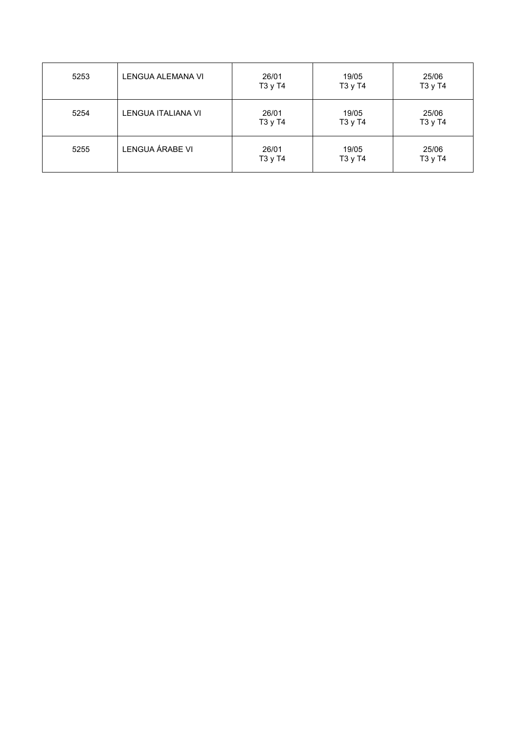| 5253 | LENGUA ALEMANA VI  | 26/01<br>T3 y T4 | 19/05<br>T3 y T4 | 25/06<br>T3 y T4 |
|------|--------------------|------------------|------------------|------------------|
| 5254 | LENGUA ITALIANA VI | 26/01<br>T3 y T4 | 19/05<br>T3 y T4 | 25/06<br>T3 y T4 |
| 5255 | LENGUA ÁRABE VI    | 26/01<br>T3 y T4 | 19/05<br>T3 y T4 | 25/06<br>T3 y T4 |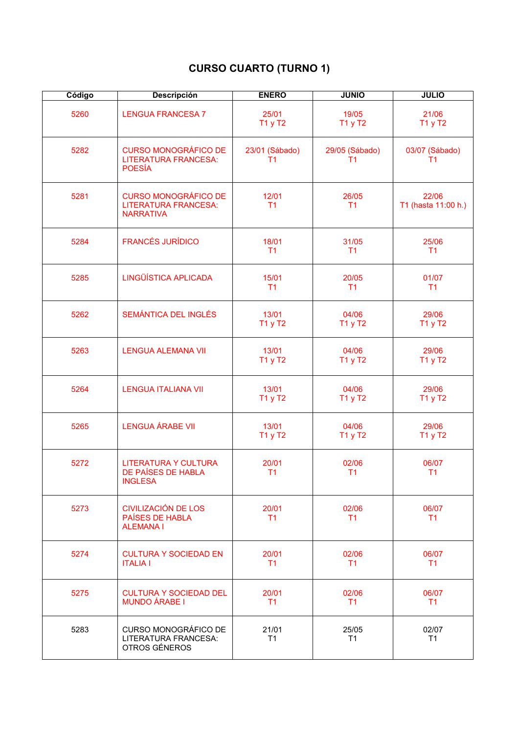# **CURSO CUARTO (TURNO 1)**

| Código | <b>Descripción</b>                                                             | <b>ENERO</b>            | <b>JUNIO</b>                     | <b>JULIO</b>                 |
|--------|--------------------------------------------------------------------------------|-------------------------|----------------------------------|------------------------------|
| 5260   | <b>LENGUA FRANCESA 7</b>                                                       | 25/01<br>T1 y T2        | 19/05<br>T1 y T2                 | 21/06<br>T1 y T2             |
| 5282   | <b>CURSO MONOGRÁFICO DE</b><br><b>LITERATURA FRANCESA:</b><br><b>POESÍA</b>    | 23/01 (Sábado)<br>T1    | 29/05 (Sábado)<br>T <sub>1</sub> | 03/07 (Sábado)<br>T1         |
| 5281   | <b>CURSO MONOGRÁFICO DE</b><br><b>LITERATURA FRANCESA:</b><br><b>NARRATIVA</b> | 12/01<br>T <sub>1</sub> | 26/05<br>T <sub>1</sub>          | 22/06<br>T1 (hasta 11:00 h.) |
| 5284   | <b>FRANCÉS JURÍDICO</b>                                                        | 18/01<br>T1             | 31/05<br>T <sub>1</sub>          | 25/06<br>T1                  |
| 5285   | LINGÜÍSTICA APLICADA                                                           | 15/01<br>T1             | 20/05<br>T <sub>1</sub>          | 01/07<br>T1                  |
| 5262   | SEMÁNTICA DEL INGLÉS                                                           | 13/01<br>T1 y T2        | 04/06<br>T1 y T2                 | 29/06<br>T1 y T2             |
| 5263   | <b>LENGUA ALEMANA VII</b>                                                      | 13/01<br>T1 y T2        | 04/06<br>T1 y T2                 | 29/06<br>T1 y T2             |
| 5264   | <b>LENGUA ITALIANA VII</b>                                                     | 13/01<br>T1 y T2        | 04/06<br>T1 y T2                 | 29/06<br>T1 y T2             |
| 5265   | <b>LENGUA ÁRABE VII</b>                                                        | 13/01<br>T1 y T2        | 04/06<br>T1 y T2                 | 29/06<br>T1 y T2             |
| 5272   | <b>LITERATURA Y CULTURA</b><br>DE PAÍSES DE HABLA<br><b>INGLESA</b>            | 20/01<br>T1             | 02/06<br>T <sub>1</sub>          | 06/07<br>T1                  |
| 5273   | <b>CIVILIZACIÓN DE LOS</b><br>PAÍSES DE HABLA<br><b>ALEMANAI</b>               | 20/01<br>T1             | 02/06<br>T1                      | 06/07<br>T1                  |
| 5274   | <b>CULTURA Y SOCIEDAD EN</b><br><b>ITALIA I</b>                                | 20/01<br>T1             | 02/06<br>T1                      | 06/07<br>T1                  |
| 5275   | <b>CULTURA Y SOCIEDAD DEL</b><br><b>MUNDO ÁRABE I</b>                          | 20/01<br>T1             | 02/06<br>T1                      | 06/07<br>T1                  |
| 5283   | CURSO MONOGRÁFICO DE<br>LITERATURA FRANCESA:<br>OTROS GÉNEROS                  | 21/01<br>T1             | 25/05<br>T1                      | 02/07<br>T1                  |